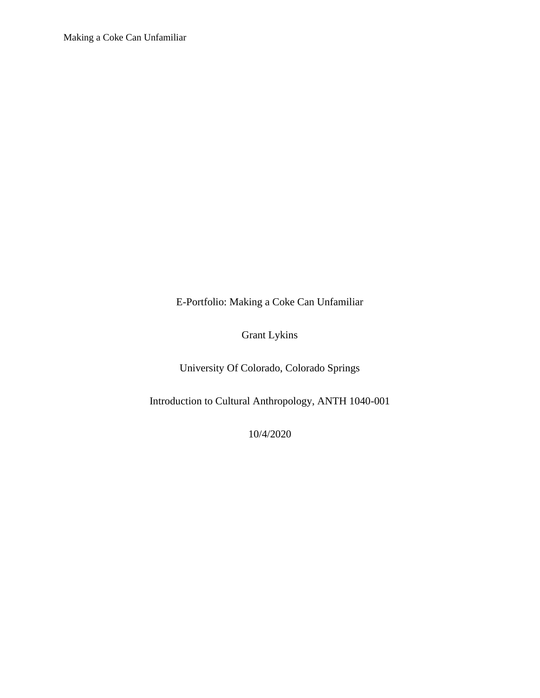E-Portfolio: Making a Coke Can Unfamiliar

Grant Lykins

University Of Colorado, Colorado Springs

Introduction to Cultural Anthropology, ANTH 1040-001

10/4/2020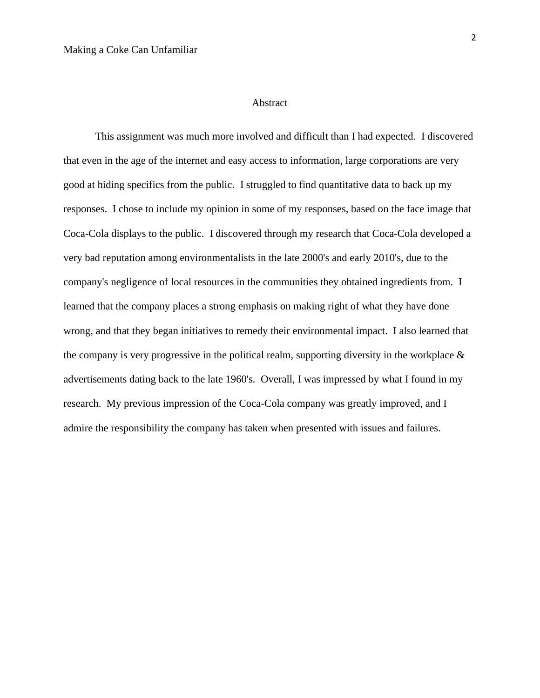#### Abstract

This assignment was much more involved and difficult than I had expected. I discovered that even in the age of the internet and easy access to information, large corporations are very good at hiding specifics from the public. I struggled to find quantitative data to back up my responses. I chose to include my opinion in some of my responses, based on the face image that Coca-Cola displays to the public. I discovered through my research that Coca-Cola developed a very bad reputation among environmentalists in the late 2000's and early 2010's, due to the company's negligence of local resources in the communities they obtained ingredients from. I learned that the company places a strong emphasis on making right of what they have done wrong, and that they began initiatives to remedy their environmental impact. I also learned that the company is very progressive in the political realm, supporting diversity in the workplace  $\&$ advertisements dating back to the late 1960's. Overall, I was impressed by what I found in my research. My previous impression of the Coca-Cola company was greatly improved, and I admire the responsibility the company has taken when presented with issues and failures.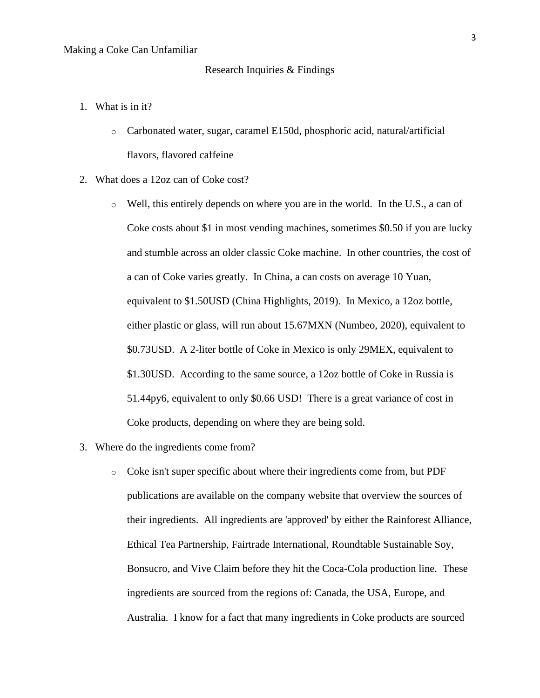## Research Inquiries & Findings

- 1. What is in it?
	- o Carbonated water, sugar, caramel E150d, phosphoric acid, natural/artificial flavors, flavored caffeine
- 2. What does a 12oz can of Coke cost?
	- o Well, this entirely depends on where you are in the world. In the U.S., a can of Coke costs about \$1 in most vending machines, sometimes \$0.50 if you are lucky and stumble across an older classic Coke machine. In other countries, the cost of a can of Coke varies greatly. In China, a can costs on average 10 Yuan, equivalent to \$1.50USD (China Highlights, 2019). In Mexico, a 12oz bottle, either plastic or glass, will run about 15.67MXN (Numbeo, 2020), equivalent to \$0.73USD. A 2-liter bottle of Coke in Mexico is only 29MEX, equivalent to \$1.30USD. According to the same source, a 12oz bottle of Coke in Russia is 51.44py6, equivalent to only \$0.66 USD! There is a great variance of cost in Coke products, depending on where they are being sold.
- 3. Where do the ingredients come from?
	- o Coke isn't super specific about where their ingredients come from, but PDF publications are available on the company website that overview the sources of their ingredients. All ingredients are 'approved' by either the Rainforest Alliance, Ethical Tea Partnership, Fairtrade International, Roundtable Sustainable Soy, Bonsucro, and Vive Claim before they hit the Coca-Cola production line. These ingredients are sourced from the regions of: Canada, the USA, Europe, and Australia. I know for a fact that many ingredients in Coke products are sourced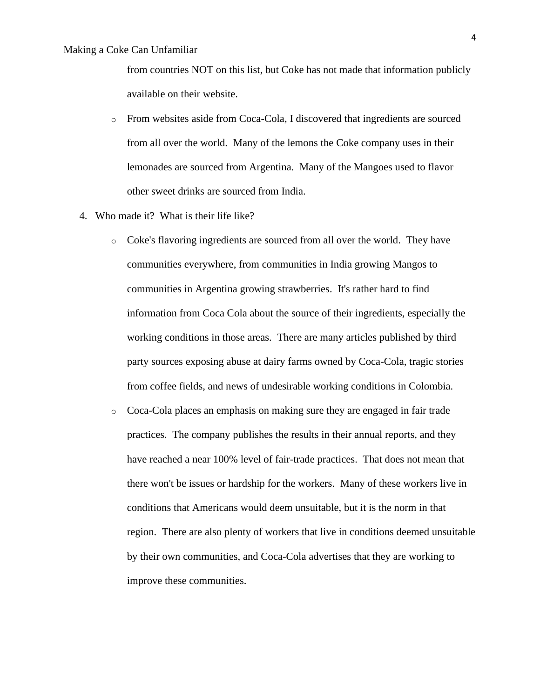from countries NOT on this list, but Coke has not made that information publicly available on their website.

- o From websites aside from Coca-Cola, I discovered that ingredients are sourced from all over the world. Many of the lemons the Coke company uses in their lemonades are sourced from Argentina. Many of the Mangoes used to flavor other sweet drinks are sourced from India.
- 4. Who made it? What is their life like?
	- o Coke's flavoring ingredients are sourced from all over the world. They have communities everywhere, from communities in India growing Mangos to communities in Argentina growing strawberries. It's rather hard to find information from Coca Cola about the source of their ingredients, especially the working conditions in those areas. There are many articles published by third party sources exposing abuse at dairy farms owned by Coca-Cola, tragic stories from coffee fields, and news of undesirable working conditions in Colombia.
	- o Coca-Cola places an emphasis on making sure they are engaged in fair trade practices. The company publishes the results in their annual reports, and they have reached a near 100% level of fair-trade practices. That does not mean that there won't be issues or hardship for the workers. Many of these workers live in conditions that Americans would deem unsuitable, but it is the norm in that region. There are also plenty of workers that live in conditions deemed unsuitable by their own communities, and Coca-Cola advertises that they are working to improve these communities.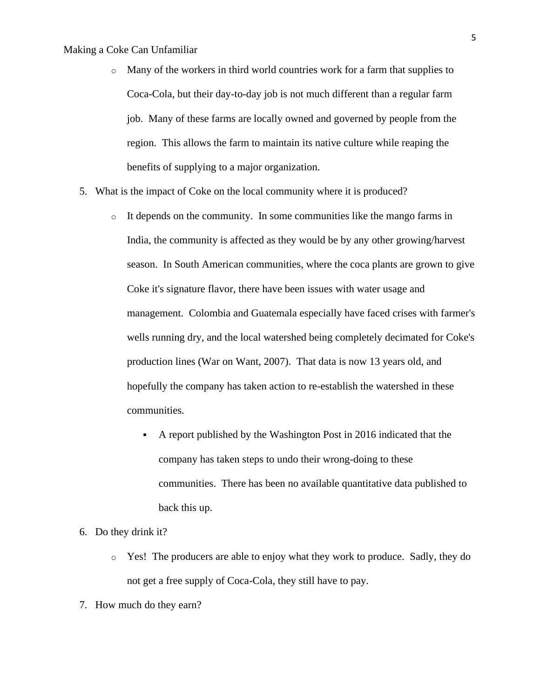- o Many of the workers in third world countries work for a farm that supplies to Coca-Cola, but their day-to-day job is not much different than a regular farm job. Many of these farms are locally owned and governed by people from the region. This allows the farm to maintain its native culture while reaping the benefits of supplying to a major organization.
- 5. What is the impact of Coke on the local community where it is produced?
	- $\circ$  It depends on the community. In some communities like the mango farms in India, the community is affected as they would be by any other growing/harvest season. In South American communities, where the coca plants are grown to give Coke it's signature flavor, there have been issues with water usage and management. Colombia and Guatemala especially have faced crises with farmer's wells running dry, and the local watershed being completely decimated for Coke's production lines (War on Want, 2007). That data is now 13 years old, and hopefully the company has taken action to re-establish the watershed in these communities.
		- A report published by the Washington Post in 2016 indicated that the company has taken steps to undo their wrong-doing to these communities. There has been no available quantitative data published to back this up.
- 6. Do they drink it?
	- o Yes! The producers are able to enjoy what they work to produce. Sadly, they do not get a free supply of Coca-Cola, they still have to pay.
- 7. How much do they earn?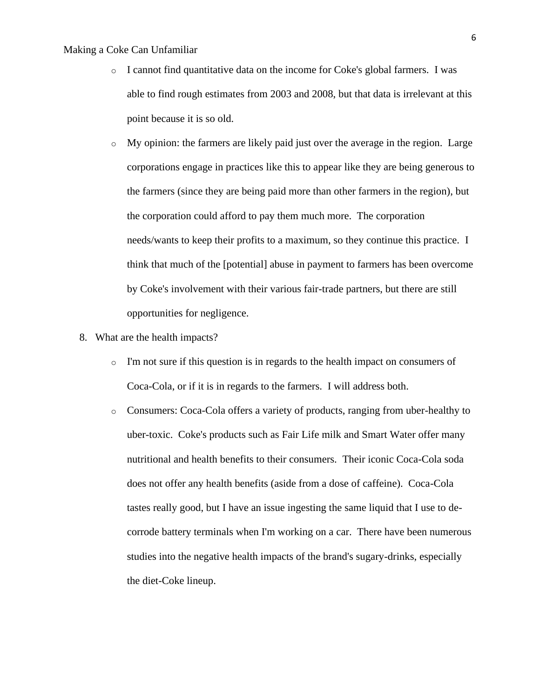- o I cannot find quantitative data on the income for Coke's global farmers. I was able to find rough estimates from 2003 and 2008, but that data is irrelevant at this point because it is so old.
- o My opinion: the farmers are likely paid just over the average in the region. Large corporations engage in practices like this to appear like they are being generous to the farmers (since they are being paid more than other farmers in the region), but the corporation could afford to pay them much more. The corporation needs/wants to keep their profits to a maximum, so they continue this practice. I think that much of the [potential] abuse in payment to farmers has been overcome by Coke's involvement with their various fair-trade partners, but there are still opportunities for negligence.
- 8. What are the health impacts?
	- $\circ$  I'm not sure if this question is in regards to the health impact on consumers of Coca-Cola, or if it is in regards to the farmers. I will address both.
	- o Consumers: Coca-Cola offers a variety of products, ranging from uber-healthy to uber-toxic. Coke's products such as Fair Life milk and Smart Water offer many nutritional and health benefits to their consumers. Their iconic Coca-Cola soda does not offer any health benefits (aside from a dose of caffeine). Coca-Cola tastes really good, but I have an issue ingesting the same liquid that I use to decorrode battery terminals when I'm working on a car. There have been numerous studies into the negative health impacts of the brand's sugary-drinks, especially the diet-Coke lineup.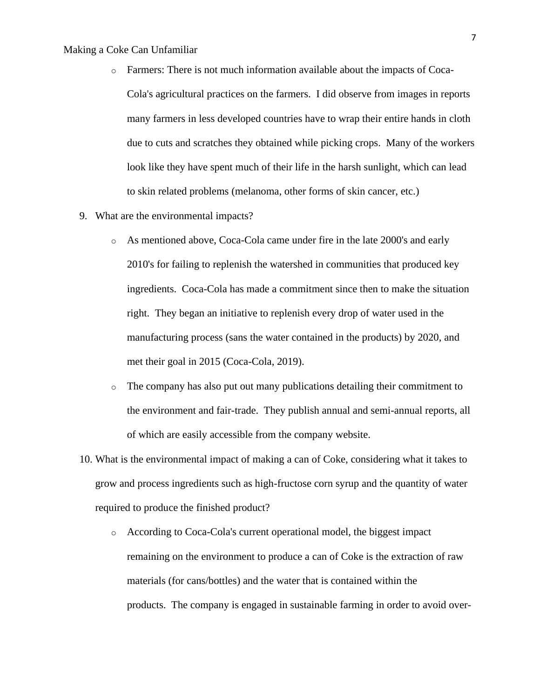- o Farmers: There is not much information available about the impacts of Coca-Cola's agricultural practices on the farmers. I did observe from images in reports many farmers in less developed countries have to wrap their entire hands in cloth due to cuts and scratches they obtained while picking crops. Many of the workers look like they have spent much of their life in the harsh sunlight, which can lead to skin related problems (melanoma, other forms of skin cancer, etc.)
- 9. What are the environmental impacts?
	- o As mentioned above, Coca-Cola came under fire in the late 2000's and early 2010's for failing to replenish the watershed in communities that produced key ingredients. Coca-Cola has made a commitment since then to make the situation right. They began an initiative to replenish every drop of water used in the manufacturing process (sans the water contained in the products) by 2020, and met their goal in 2015 (Coca-Cola, 2019).
	- $\circ$  The company has also put out many publications detailing their commitment to the environment and fair-trade. They publish annual and semi-annual reports, all of which are easily accessible from the company website.
- 10. What is the environmental impact of making a can of Coke, considering what it takes to grow and process ingredients such as high-fructose corn syrup and the quantity of water required to produce the finished product?
	- o According to Coca-Cola's current operational model, the biggest impact remaining on the environment to produce a can of Coke is the extraction of raw materials (for cans/bottles) and the water that is contained within the products. The company is engaged in sustainable farming in order to avoid over-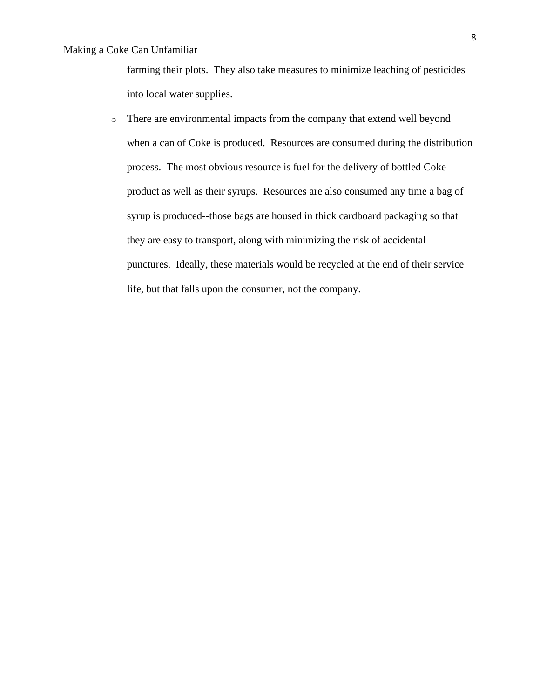farming their plots. They also take measures to minimize leaching of pesticides into local water supplies.

o There are environmental impacts from the company that extend well beyond when a can of Coke is produced. Resources are consumed during the distribution process. The most obvious resource is fuel for the delivery of bottled Coke product as well as their syrups. Resources are also consumed any time a bag of syrup is produced--those bags are housed in thick cardboard packaging so that they are easy to transport, along with minimizing the risk of accidental punctures. Ideally, these materials would be recycled at the end of their service life, but that falls upon the consumer, not the company.